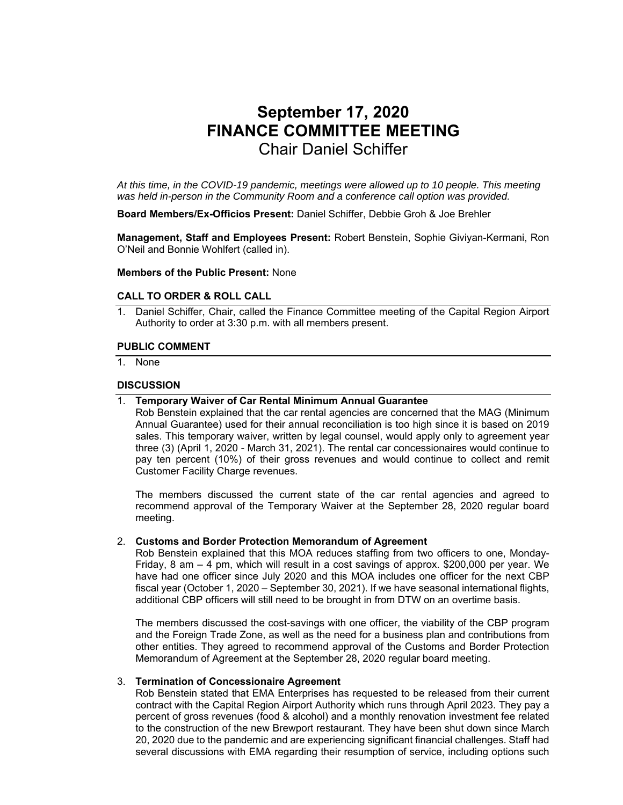# **September 17, 2020 FINANCE COMMITTEE MEETING**  Chair Daniel Schiffer

*At this time, in the COVID-19 pandemic, meetings were allowed up to 10 people. This meeting was held in-person in the Community Room and a conference call option was provided.* 

**Board Members/Ex-Officios Present:** Daniel Schiffer, Debbie Groh & Joe Brehler

**Management, Staff and Employees Present:** Robert Benstein, Sophie Giviyan-Kermani, Ron O'Neil and Bonnie Wohlfert (called in).

#### **Members of the Public Present:** None

## **CALL TO ORDER & ROLL CALL**

1. Daniel Schiffer, Chair, called the Finance Committee meeting of the Capital Region Airport Authority to order at 3:30 p.m. with all members present.

#### **PUBLIC COMMENT**

1. None

### **DISCUSSION**

1. **Temporary Waiver of Car Rental Minimum Annual Guarantee** 

Rob Benstein explained that the car rental agencies are concerned that the MAG (Minimum Annual Guarantee) used for their annual reconciliation is too high since it is based on 2019 sales. This temporary waiver, written by legal counsel, would apply only to agreement year three (3) (April 1, 2020 - March 31, 2021). The rental car concessionaires would continue to pay ten percent (10%) of their gross revenues and would continue to collect and remit Customer Facility Charge revenues.

The members discussed the current state of the car rental agencies and agreed to recommend approval of the Temporary Waiver at the September 28, 2020 regular board meeting.

#### 2. **Customs and Border Protection Memorandum of Agreement**

Rob Benstein explained that this MOA reduces staffing from two officers to one, Monday-Friday, 8 am – 4 pm, which will result in a cost savings of approx. \$200,000 per year. We have had one officer since July 2020 and this MOA includes one officer for the next CBP fiscal year (October 1, 2020 – September 30, 2021). If we have seasonal international flights, additional CBP officers will still need to be brought in from DTW on an overtime basis.

The members discussed the cost-savings with one officer, the viability of the CBP program and the Foreign Trade Zone, as well as the need for a business plan and contributions from other entities. They agreed to recommend approval of the Customs and Border Protection Memorandum of Agreement at the September 28, 2020 regular board meeting.

#### 3. **Termination of Concessionaire Agreement**

Rob Benstein stated that EMA Enterprises has requested to be released from their current contract with the Capital Region Airport Authority which runs through April 2023. They pay a percent of gross revenues (food & alcohol) and a monthly renovation investment fee related to the construction of the new Brewport restaurant. They have been shut down since March 20, 2020 due to the pandemic and are experiencing significant financial challenges. Staff had several discussions with EMA regarding their resumption of service, including options such